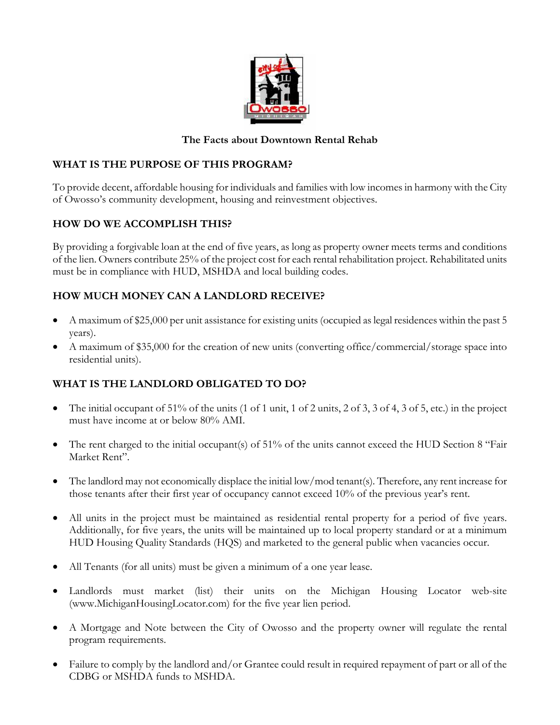

#### **The Facts about Downtown Rental Rehab**

### **WHAT IS THE PURPOSE OF THIS PROGRAM?**

To provide decent, affordable housing for individuals and families with low incomes in harmony with the City of Owosso's community development, housing and reinvestment objectives.

# **HOW DO WE ACCOMPLISH THIS?**

By providing a forgivable loan at the end of five years, as long as property owner meets terms and conditions of the lien. Owners contribute 25% of the project cost for each rental rehabilitation project. Rehabilitated units must be in compliance with HUD, MSHDA and local building codes.

# **HOW MUCH MONEY CAN A LANDLORD RECEIVE?**

- A maximum of \$25,000 per unit assistance for existing units (occupied as legal residences within the past 5 years).
- A maximum of \$35,000 for the creation of new units (converting office/commercial/storage space into residential units).

#### **WHAT IS THE LANDLORD OBLIGATED TO DO?**

- The initial occupant of  $51\%$  of the units (1 of 1 unit, 1 of 2 units, 2 of 3, 3 of 4, 3 of 5, etc.) in the project must have income at or below 80% AMI.
- The rent charged to the initial occupant(s) of 51% of the units cannot exceed the HUD Section 8 "Fair Market Rent".
- The landlord may not economically displace the initial low/mod tenant(s). Therefore, any rent increase for those tenants after their first year of occupancy cannot exceed 10% of the previous year's rent.
- All units in the project must be maintained as residential rental property for a period of five years. Additionally, for five years, the units will be maintained up to local property standard or at a minimum HUD Housing Quality Standards (HQS) and marketed to the general public when vacancies occur.
- All Tenants (for all units) must be given a minimum of a one year lease.
- Landlords must market (list) their units on the Michigan Housing Locator web-site (www.MichiganHousingLocator.com) for the five year lien period.
- A Mortgage and Note between the City of Owosso and the property owner will regulate the rental program requirements.
- Failure to comply by the landlord and/or Grantee could result in required repayment of part or all of the CDBG or MSHDA funds to MSHDA.